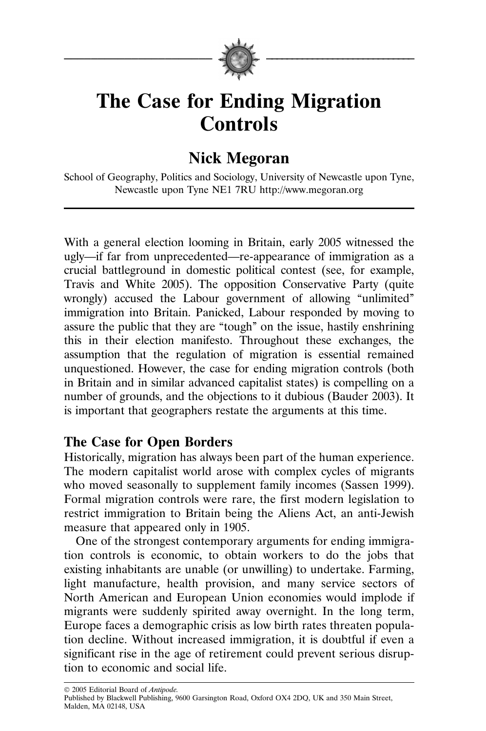

# The Case for Ending Migration **Controls**

## Nick Megoran

School of Geography, Politics and Sociology, University of Newcastle upon Tyne, Newcastle upon Tyne NE1 7RU http://www.megoran.org

With a general election looming in Britain, early 2005 witnessed the ugly—if far from unprecedented—re-appearance of immigration as a crucial battleground in domestic political contest (see, for example, Travis and White 2005). The opposition Conservative Party (quite wrongly) accused the Labour government of allowing "unlimited" immigration into Britain. Panicked, Labour responded by moving to assure the public that they are ''tough'' on the issue, hastily enshrining this in their election manifesto. Throughout these exchanges, the assumption that the regulation of migration is essential remained unquestioned. However, the case for ending migration controls (both in Britain and in similar advanced capitalist states) is compelling on a number of grounds, and the objections to it dubious (Bauder 2003). It is important that geographers restate the arguments at this time.

### The Case for Open Borders

Historically, migration has always been part of the human experience. The modern capitalist world arose with complex cycles of migrants who moved seasonally to supplement family incomes (Sassen 1999). Formal migration controls were rare, the first modern legislation to restrict immigration to Britain being the Aliens Act, an anti-Jewish measure that appeared only in 1905.

One of the strongest contemporary arguments for ending immigration controls is economic, to obtain workers to do the jobs that existing inhabitants are unable (or unwilling) to undertake. Farming, light manufacture, health provision, and many service sectors of North American and European Union economies would implode if migrants were suddenly spirited away overnight. In the long term, Europe faces a demographic crisis as low birth rates threaten population decline. Without increased immigration, it is doubtful if even a significant rise in the age of retirement could prevent serious disruption to economic and social life.

2005 Editorial Board of Antipode.

Published by Blackwell Publishing, 9600 Garsington Road, Oxford OX4 2DQ, UK and 350 Main Street, Malden, MA 02148, USA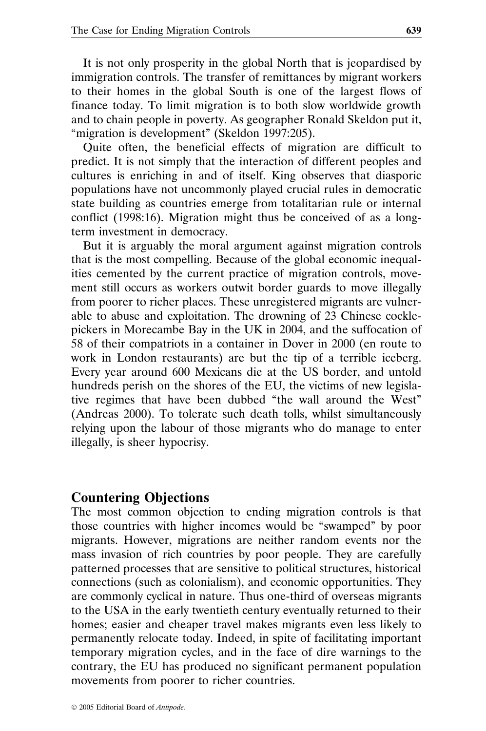It is not only prosperity in the global North that is jeopardised by immigration controls. The transfer of remittances by migrant workers to their homes in the global South is one of the largest flows of finance today. To limit migration is to both slow worldwide growth and to chain people in poverty. As geographer Ronald Skeldon put it, "migration is development" (Skeldon 1997:205).

Quite often, the beneficial effects of migration are difficult to predict. It is not simply that the interaction of different peoples and cultures is enriching in and of itself. King observes that diasporic populations have not uncommonly played crucial rules in democratic state building as countries emerge from totalitarian rule or internal conflict (1998:16). Migration might thus be conceived of as a longterm investment in democracy.

But it is arguably the moral argument against migration controls that is the most compelling. Because of the global economic inequalities cemented by the current practice of migration controls, movement still occurs as workers outwit border guards to move illegally from poorer to richer places. These unregistered migrants are vulnerable to abuse and exploitation. The drowning of 23 Chinese cocklepickers in Morecambe Bay in the UK in 2004, and the suffocation of 58 of their compatriots in a container in Dover in 2000 (en route to work in London restaurants) are but the tip of a terrible iceberg. Every year around 600 Mexicans die at the US border, and untold hundreds perish on the shores of the EU, the victims of new legislative regimes that have been dubbed "the wall around the West" (Andreas 2000). To tolerate such death tolls, whilst simultaneously relying upon the labour of those migrants who do manage to enter illegally, is sheer hypocrisy.

#### Countering Objections

The most common objection to ending migration controls is that those countries with higher incomes would be ''swamped'' by poor migrants. However, migrations are neither random events nor the mass invasion of rich countries by poor people. They are carefully patterned processes that are sensitive to political structures, historical connections (such as colonialism), and economic opportunities. They are commonly cyclical in nature. Thus one-third of overseas migrants to the USA in the early twentieth century eventually returned to their homes; easier and cheaper travel makes migrants even less likely to permanently relocate today. Indeed, in spite of facilitating important temporary migration cycles, and in the face of dire warnings to the contrary, the EU has produced no significant permanent population movements from poorer to richer countries.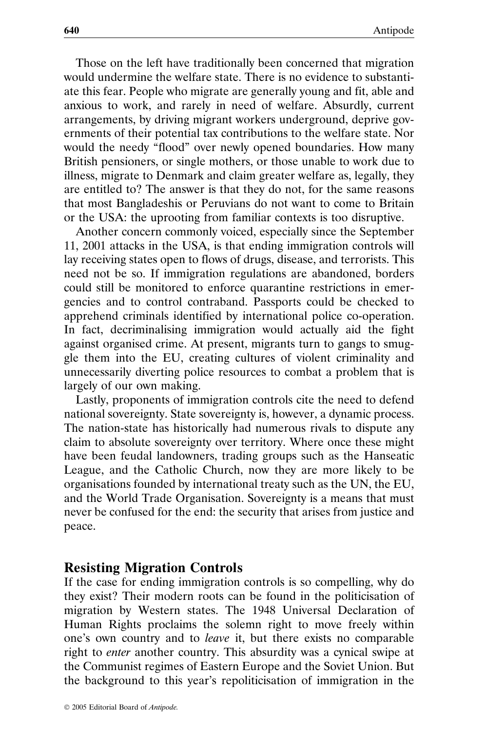Those on the left have traditionally been concerned that migration would undermine the welfare state. There is no evidence to substantiate this fear. People who migrate are generally young and fit, able and anxious to work, and rarely in need of welfare. Absurdly, current arrangements, by driving migrant workers underground, deprive governments of their potential tax contributions to the welfare state. Nor would the needy "flood" over newly opened boundaries. How many British pensioners, or single mothers, or those unable to work due to illness, migrate to Denmark and claim greater welfare as, legally, they are entitled to? The answer is that they do not, for the same reasons that most Bangladeshis or Peruvians do not want to come to Britain or the USA: the uprooting from familiar contexts is too disruptive.

Another concern commonly voiced, especially since the September 11, 2001 attacks in the USA, is that ending immigration controls will lay receiving states open to flows of drugs, disease, and terrorists. This need not be so. If immigration regulations are abandoned, borders could still be monitored to enforce quarantine restrictions in emergencies and to control contraband. Passports could be checked to apprehend criminals identified by international police co-operation. In fact, decriminalising immigration would actually aid the fight against organised crime. At present, migrants turn to gangs to smuggle them into the EU, creating cultures of violent criminality and unnecessarily diverting police resources to combat a problem that is largely of our own making.

Lastly, proponents of immigration controls cite the need to defend national sovereignty. State sovereignty is, however, a dynamic process. The nation-state has historically had numerous rivals to dispute any claim to absolute sovereignty over territory. Where once these might have been feudal landowners, trading groups such as the Hanseatic League, and the Catholic Church, now they are more likely to be organisations founded by international treaty such as the UN, the EU, and the World Trade Organisation. Sovereignty is a means that must never be confused for the end: the security that arises from justice and peace.

#### Resisting Migration Controls

If the case for ending immigration controls is so compelling, why do they exist? Their modern roots can be found in the politicisation of migration by Western states. The 1948 Universal Declaration of Human Rights proclaims the solemn right to move freely within one's own country and to leave it, but there exists no comparable right to enter another country. This absurdity was a cynical swipe at the Communist regimes of Eastern Europe and the Soviet Union. But the background to this year's repoliticisation of immigration in the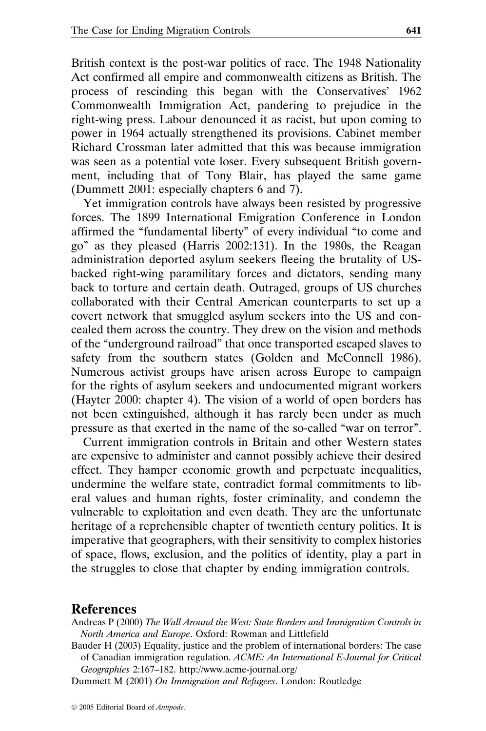British context is the post-war politics of race. The 1948 Nationality Act confirmed all empire and commonwealth citizens as British. The process of rescinding this began with the Conservatives' 1962 Commonwealth Immigration Act, pandering to prejudice in the right-wing press. Labour denounced it as racist, but upon coming to power in 1964 actually strengthened its provisions. Cabinet member Richard Crossman later admitted that this was because immigration was seen as a potential vote loser. Every subsequent British government, including that of Tony Blair, has played the same game (Dummett 2001: especially chapters 6 and 7).

Yet immigration controls have always been resisted by progressive forces. The 1899 International Emigration Conference in London affirmed the "fundamental liberty" of every individual "to come and go'' as they pleased (Harris 2002:131). In the 1980s, the Reagan administration deported asylum seekers fleeing the brutality of USbacked right-wing paramilitary forces and dictators, sending many back to torture and certain death. Outraged, groups of US churches collaborated with their Central American counterparts to set up a covert network that smuggled asylum seekers into the US and concealed them across the country. They drew on the vision and methods of the ''underground railroad'' that once transported escaped slaves to safety from the southern states (Golden and McConnell 1986). Numerous activist groups have arisen across Europe to campaign for the rights of asylum seekers and undocumented migrant workers (Hayter 2000: chapter 4). The vision of a world of open borders has not been extinguished, although it has rarely been under as much pressure as that exerted in the name of the so-called ''war on terror''.

Current immigration controls in Britain and other Western states are expensive to administer and cannot possibly achieve their desired effect. They hamper economic growth and perpetuate inequalities, undermine the welfare state, contradict formal commitments to liberal values and human rights, foster criminality, and condemn the vulnerable to exploitation and even death. They are the unfortunate heritage of a reprehensible chapter of twentieth century politics. It is imperative that geographers, with their sensitivity to complex histories of space, flows, exclusion, and the politics of identity, play a part in the struggles to close that chapter by ending immigration controls.

#### **References**

Andreas P (2000) The Wall Around the West: State Borders and Immigration Controls in North America and Europe. Oxford: Rowman and Littlefield

Bauder H (2003) Equality, justice and the problem of international borders: The case of Canadian immigration regulation. ACME: An International E-Journal for Critical Geographies 2:167–182. http://www.acme-journal.org/

Dummett M (2001) On Immigration and Refugees. London: Routledge